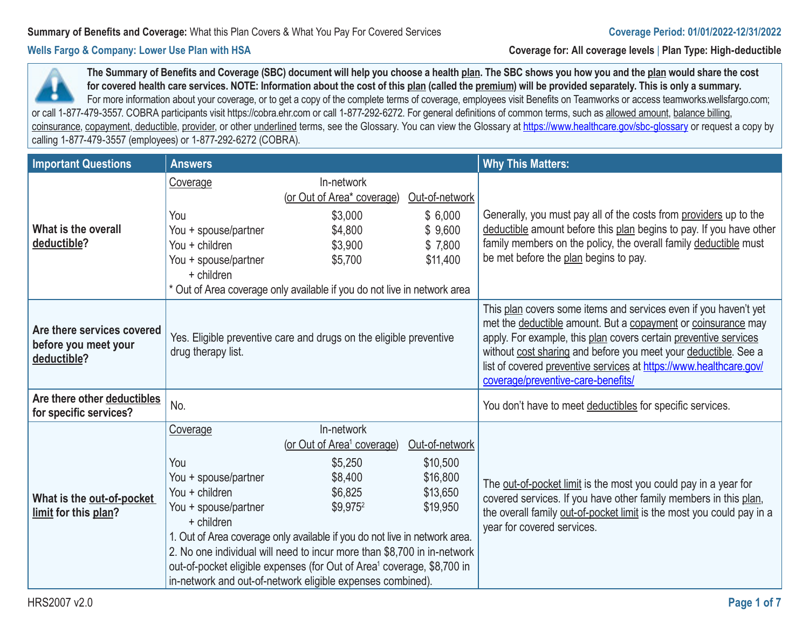**Wells Fargo & Company: Lower Use Plan with HSA Coverage for: All coverage levels** | **Plan Type: High-deductible**

**The Summary of Benefits and Coverage (SBC) document will help you choose a health plan. The SBC shows you how you and the plan would share the cost for covered health care services. NOTE: Information about the cost of this plan (called the premium) will be provided separately. This is only a summary.**  For more information about your coverage, or to get a copy of the complete terms of coverage, employees visit Benefits on Teamworks or access teamworks.wellsfargo.com; or call 1-877-479-3557. COBRA participants visit https://cobra.ehr.com or call 1-877-292-6272. For general definitions of common terms, such as allowed amount, balance billing, coinsurance, copayment, deductible, provider, or other underlined terms, see the Glossary. You can view the Glossary at https://www.healthcare.gov/sbc-glossary or request a copy by calling 1-877-479-3557 (employees) or 1-877-292-6272 (COBRA).

| <b>Important Questions</b>                                        | <b>Answers</b>                                                                                  |                                                                                                                                                                                                                                                                                                                                                                                                                            |                                                                | <b>Why This Matters:</b>                                                                                                                                                                                                                                                                                                                                                             |
|-------------------------------------------------------------------|-------------------------------------------------------------------------------------------------|----------------------------------------------------------------------------------------------------------------------------------------------------------------------------------------------------------------------------------------------------------------------------------------------------------------------------------------------------------------------------------------------------------------------------|----------------------------------------------------------------|--------------------------------------------------------------------------------------------------------------------------------------------------------------------------------------------------------------------------------------------------------------------------------------------------------------------------------------------------------------------------------------|
| What is the overall<br>deductible?                                | Coverage<br>You<br>You + spouse/partner<br>You + children<br>You + spouse/partner<br>+ children | In-network<br>(or Out of Area* coverage)<br>\$3,000<br>\$4,800<br>\$3,900<br>\$5,700                                                                                                                                                                                                                                                                                                                                       | Out-of-network<br>\$6,000<br>\$9,600<br>\$7,800<br>\$11,400    | Generally, you must pay all of the costs from providers up to the<br>deductible amount before this plan begins to pay. If you have other<br>family members on the policy, the overall family deductible must<br>be met before the plan begins to pay.                                                                                                                                |
|                                                                   |                                                                                                 | * Out of Area coverage only available if you do not live in network area                                                                                                                                                                                                                                                                                                                                                   |                                                                |                                                                                                                                                                                                                                                                                                                                                                                      |
| Are there services covered<br>before you meet your<br>deductible? | Yes. Eligible preventive care and drugs on the eligible preventive<br>drug therapy list.        |                                                                                                                                                                                                                                                                                                                                                                                                                            |                                                                | This plan covers some items and services even if you haven't yet<br>met the deductible amount. But a copayment or coinsurance may<br>apply. For example, this plan covers certain preventive services<br>without cost sharing and before you meet your deductible. See a<br>list of covered preventive services at https://www.healthcare.gov/<br>coverage/preventive-care-benefits/ |
| Are there other deductibles<br>for specific services?             | No.                                                                                             |                                                                                                                                                                                                                                                                                                                                                                                                                            |                                                                | You don't have to meet deductibles for specific services.                                                                                                                                                                                                                                                                                                                            |
| What is the out-of-pocket<br>limit for this plan?                 | Coverage<br>You<br>You + spouse/partner<br>You + children<br>You + spouse/partner<br>+ children | In-network<br>(or Out of Area <sup>1</sup> coverage)<br>\$5,250<br>\$8,400<br>\$6,825<br>\$9,975 <sup>2</sup><br>1. Out of Area coverage only available if you do not live in network area.<br>2. No one individual will need to incur more than \$8,700 in in-network<br>out-of-pocket eligible expenses (for Out of Area <sup>1</sup> coverage, \$8,700 in<br>in-network and out-of-network eligible expenses combined). | Out-of-network<br>\$10,500<br>\$16,800<br>\$13,650<br>\$19,950 | The out-of-pocket limit is the most you could pay in a year for<br>covered services. If you have other family members in this plan,<br>the overall family out-of-pocket limit is the most you could pay in a<br>year for covered services.                                                                                                                                           |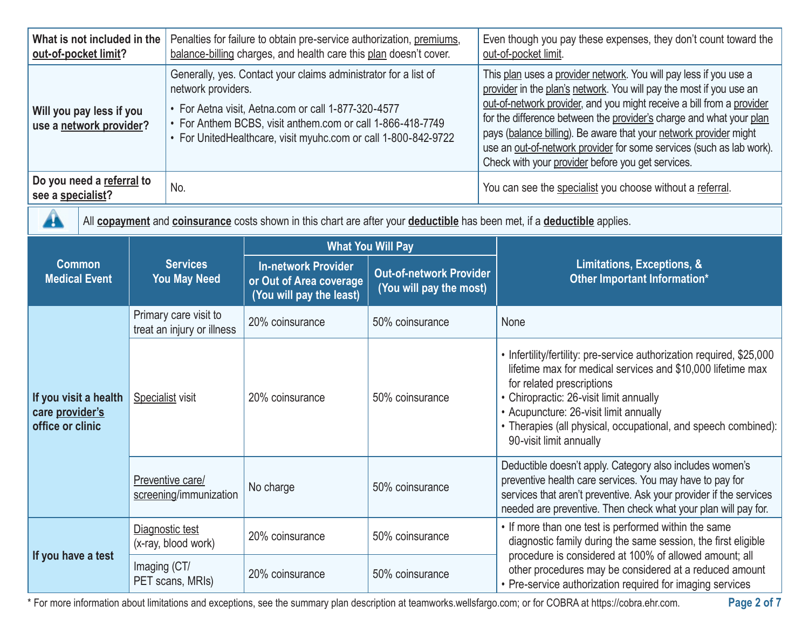| What is not included in the<br>out-of-pocket limit?          |                                                     | Penalties for failure to obtain pre-service authorization, premiums,<br>balance-billing charges, and health care this plan doesn't cover.                                                                                                                                    |                                                                                   |                                                           | Even though you pay these expenses, they don't count toward the<br>out-of-pocket limit.                                                                                                                                                                                                                                                                                                                                                                                                    |  |
|--------------------------------------------------------------|-----------------------------------------------------|------------------------------------------------------------------------------------------------------------------------------------------------------------------------------------------------------------------------------------------------------------------------------|-----------------------------------------------------------------------------------|-----------------------------------------------------------|--------------------------------------------------------------------------------------------------------------------------------------------------------------------------------------------------------------------------------------------------------------------------------------------------------------------------------------------------------------------------------------------------------------------------------------------------------------------------------------------|--|
| Will you pay less if you<br>use a network provider?          |                                                     | Generally, yes. Contact your claims administrator for a list of<br>network providers.<br>• For Aetna visit, Aetna.com or call 1-877-320-4577<br>• For Anthem BCBS, visit anthem.com or call 1-866-418-7749<br>• For UnitedHealthcare, visit myuhc.com or call 1-800-842-9722 |                                                                                   |                                                           | This plan uses a provider network. You will pay less if you use a<br>provider in the plan's network. You will pay the most if you use an<br>out-of-network provider, and you might receive a bill from a provider<br>for the difference between the provider's charge and what your plan<br>pays (balance billing). Be aware that your network provider might<br>use an out-of-network provider for some services (such as lab work).<br>Check with your provider before you get services. |  |
| Do you need a referral to<br>see a specialist?               |                                                     | No.                                                                                                                                                                                                                                                                          |                                                                                   |                                                           | You can see the specialist you choose without a referral.                                                                                                                                                                                                                                                                                                                                                                                                                                  |  |
| 44                                                           |                                                     |                                                                                                                                                                                                                                                                              |                                                                                   |                                                           | All copayment and coinsurance costs shown in this chart are after your deductible has been met, if a deductible applies.                                                                                                                                                                                                                                                                                                                                                                   |  |
|                                                              |                                                     |                                                                                                                                                                                                                                                                              |                                                                                   | <b>What You Will Pay</b>                                  |                                                                                                                                                                                                                                                                                                                                                                                                                                                                                            |  |
| <b>Common</b><br><b>Medical Event</b>                        |                                                     | <b>Services</b><br><b>You May Need</b>                                                                                                                                                                                                                                       | <b>In-network Provider</b><br>or Out of Area coverage<br>(You will pay the least) | <b>Out-of-network Provider</b><br>(You will pay the most) | Limitations, Exceptions, &<br>Other Important Information*                                                                                                                                                                                                                                                                                                                                                                                                                                 |  |
|                                                              | Primary care visit to<br>treat an injury or illness |                                                                                                                                                                                                                                                                              | 20% coinsurance                                                                   | 50% coinsurance                                           | None                                                                                                                                                                                                                                                                                                                                                                                                                                                                                       |  |
| If you visit a health<br>care provider's<br>office or clinic |                                                     | Specialist visit<br>20% coinsurance                                                                                                                                                                                                                                          |                                                                                   | 50% coinsurance                                           | • Infertility/fertility: pre-service authorization required, \$25,000<br>lifetime max for medical services and \$10,000 lifetime max<br>for related prescriptions<br>• Chiropractic: 26-visit limit annually<br>• Acupuncture: 26-visit limit annually<br>• Therapies (all physical, occupational, and speech combined):<br>90-visit limit annually                                                                                                                                        |  |
|                                                              |                                                     | Preventive care/<br>No charge<br>50% coinsurance<br>screening/immunization                                                                                                                                                                                                   |                                                                                   |                                                           | Deductible doesn't apply. Category also includes women's<br>preventive health care services. You may have to pay for<br>services that aren't preventive. Ask your provider if the services<br>needed are preventive. Then check what your plan will pay for.                                                                                                                                                                                                                               |  |
| If you have a test                                           |                                                     | Diagnostic test<br>20% coinsurance<br>(x-ray, blood work)                                                                                                                                                                                                                    |                                                                                   | 50% coinsurance                                           | • If more than one test is performed within the same<br>diagnostic family during the same session, the first eligible                                                                                                                                                                                                                                                                                                                                                                      |  |
|                                                              | Imaging (CT/                                        | PET scans, MRIs)                                                                                                                                                                                                                                                             | 20% coinsurance                                                                   | 50% coinsurance                                           | procedure is considered at 100% of allowed amount; all<br>other procedures may be considered at a reduced amount<br>• Pre-service authorization required for imaging services                                                                                                                                                                                                                                                                                                              |  |

\* For more information about limitations and exceptions, see the summary plan description at teamworks.wellsfargo.com; or for COBRA at https://cobra.ehr.com.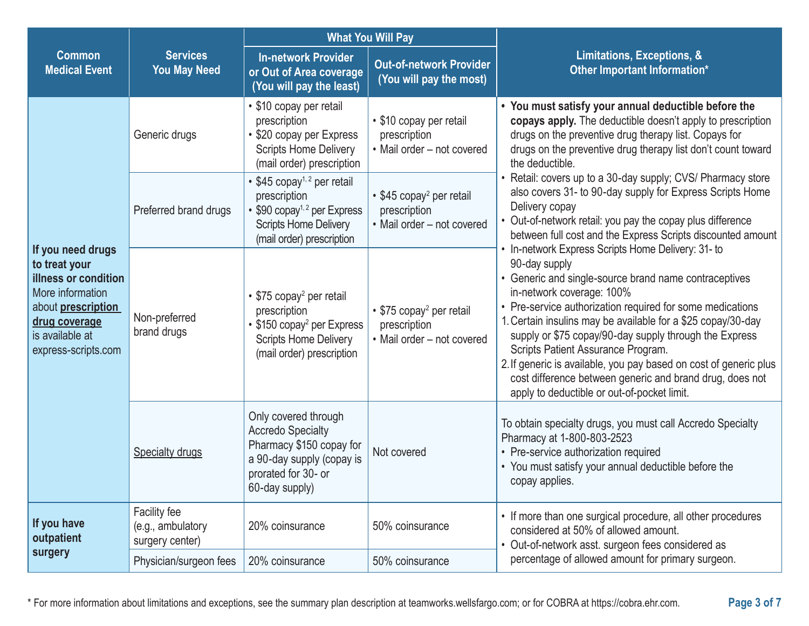|                                                                                                                                                                        |                                                      | <b>What You Will Pay</b>                                                                                                                                          |                                                                                    |                                                                                                                                                                                                                                                                                                                                                                                                                                                                                                                  |  |
|------------------------------------------------------------------------------------------------------------------------------------------------------------------------|------------------------------------------------------|-------------------------------------------------------------------------------------------------------------------------------------------------------------------|------------------------------------------------------------------------------------|------------------------------------------------------------------------------------------------------------------------------------------------------------------------------------------------------------------------------------------------------------------------------------------------------------------------------------------------------------------------------------------------------------------------------------------------------------------------------------------------------------------|--|
| <b>Common</b><br><b>Medical Event</b>                                                                                                                                  | <b>Services</b><br><b>You May Need</b>               | <b>In-network Provider</b><br>or Out of Area coverage<br>(You will pay the least)                                                                                 | <b>Out-of-network Provider</b><br>(You will pay the most)                          | Limitations, Exceptions, &<br>Other Important Information*                                                                                                                                                                                                                                                                                                                                                                                                                                                       |  |
| If you need drugs<br>to treat your<br><b>illness or condition</b><br>More information<br>about prescription<br>drug coverage<br>is available at<br>express-scripts.com | Generic drugs                                        | • \$10 copay per retail<br>prescription<br>• \$20 copay per Express<br><b>Scripts Home Delivery</b><br>(mail order) prescription                                  | • \$10 copay per retail<br>prescription<br>• Mail order - not covered              | • You must satisfy your annual deductible before the<br>copays apply. The deductible doesn't apply to prescription<br>drugs on the preventive drug therapy list. Copays for<br>drugs on the preventive drug therapy list don't count toward<br>the deductible.                                                                                                                                                                                                                                                   |  |
|                                                                                                                                                                        | Preferred brand drugs                                | • \$45 copay <sup>1, 2</sup> per retail<br>prescription<br>• \$90 copay <sup>1, 2</sup> per Express<br><b>Scripts Home Delivery</b><br>(mail order) prescription  | • \$45 copay <sup>2</sup> per retail<br>prescription<br>• Mail order - not covered | Retail: covers up to a 30-day supply; CVS/ Pharmacy store<br>also covers 31- to 90-day supply for Express Scripts Home<br>Delivery copay<br>• Out-of-network retail: you pay the copay plus difference<br>between full cost and the Express Scripts discounted amount<br>• In-network Express Scripts Home Delivery: 31- to                                                                                                                                                                                      |  |
|                                                                                                                                                                        | Non-preferred<br>brand drugs                         | $\cdot$ \$75 copay <sup>2</sup> per retail<br>prescription<br>• \$150 copay <sup>2</sup> per Express<br><b>Scripts Home Delivery</b><br>(mail order) prescription | • \$75 copay <sup>2</sup> per retail<br>prescription<br>• Mail order - not covered | 90-day supply<br>• Generic and single-source brand name contraceptives<br>in-network coverage: 100%<br>• Pre-service authorization required for some medications<br>1. Certain insulins may be available for a \$25 copay/30-day<br>supply or \$75 copay/90-day supply through the Express<br>Scripts Patient Assurance Program.<br>2. If generic is available, you pay based on cost of generic plus<br>cost difference between generic and brand drug, does not<br>apply to deductible or out-of-pocket limit. |  |
|                                                                                                                                                                        | <b>Specialty drugs</b>                               | Only covered through<br><b>Accredo Specialty</b><br>Pharmacy \$150 copay for<br>a 90-day supply (copay is<br>prorated for 30- or<br>60-day supply)                | Not covered                                                                        | To obtain specialty drugs, you must call Accredo Specialty<br>Pharmacy at 1-800-803-2523<br>• Pre-service authorization required<br>• You must satisfy your annual deductible before the<br>copay applies.                                                                                                                                                                                                                                                                                                       |  |
| If you have<br>outpatient<br>surgery                                                                                                                                   | Facility fee<br>(e.g., ambulatory<br>surgery center) | 20% coinsurance                                                                                                                                                   | 50% coinsurance                                                                    | • If more than one surgical procedure, all other procedures<br>considered at 50% of allowed amount.<br>Out-of-network asst. surgeon fees considered as                                                                                                                                                                                                                                                                                                                                                           |  |
|                                                                                                                                                                        | Physician/surgeon fees                               | 20% coinsurance                                                                                                                                                   | 50% coinsurance                                                                    | percentage of allowed amount for primary surgeon.                                                                                                                                                                                                                                                                                                                                                                                                                                                                |  |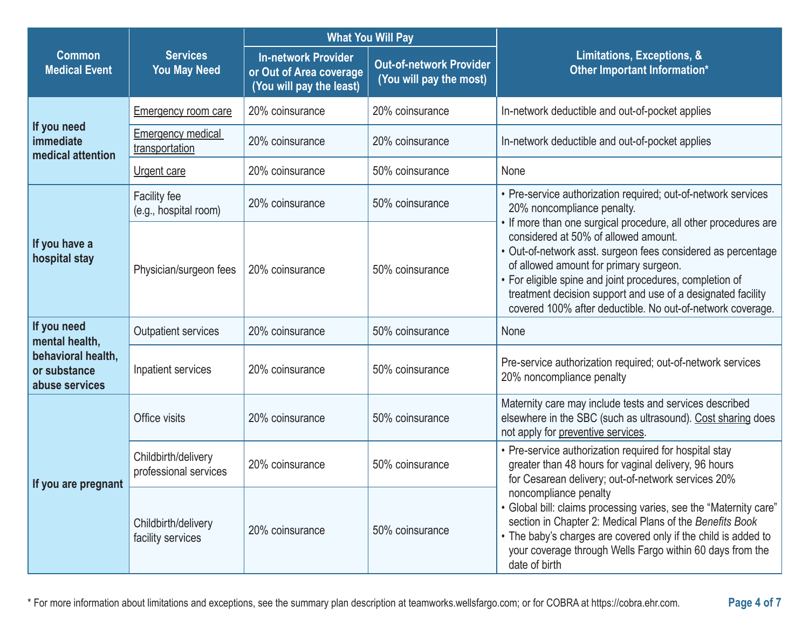|                                                                                       | <b>Services</b><br><b>You May Need</b>       | <b>What You Will Pay</b>                                                          |                                                           |                                                                                                                                                                                                                                                                                                                                                                                                            |  |
|---------------------------------------------------------------------------------------|----------------------------------------------|-----------------------------------------------------------------------------------|-----------------------------------------------------------|------------------------------------------------------------------------------------------------------------------------------------------------------------------------------------------------------------------------------------------------------------------------------------------------------------------------------------------------------------------------------------------------------------|--|
| <b>Common</b><br><b>Medical Event</b>                                                 |                                              | <b>In-network Provider</b><br>or Out of Area coverage<br>(You will pay the least) | <b>Out-of-network Provider</b><br>(You will pay the most) | Limitations, Exceptions, &<br><b>Other Important Information*</b>                                                                                                                                                                                                                                                                                                                                          |  |
|                                                                                       | <b>Emergency room care</b>                   | 20% coinsurance                                                                   | 20% coinsurance                                           | In-network deductible and out-of-pocket applies                                                                                                                                                                                                                                                                                                                                                            |  |
| If you need<br>immediate<br>medical attention                                         | <b>Emergency medical</b><br>transportation   | 20% coinsurance                                                                   | 20% coinsurance                                           | In-network deductible and out-of-pocket applies                                                                                                                                                                                                                                                                                                                                                            |  |
|                                                                                       | Urgent care                                  | 20% coinsurance                                                                   | 50% coinsurance                                           | None                                                                                                                                                                                                                                                                                                                                                                                                       |  |
|                                                                                       | Facility fee<br>(e.g., hospital room)        | 20% coinsurance                                                                   | 50% coinsurance                                           | • Pre-service authorization required; out-of-network services<br>20% noncompliance penalty.                                                                                                                                                                                                                                                                                                                |  |
| If you have a<br>hospital stay                                                        | Physician/surgeon fees                       | 20% coinsurance                                                                   | 50% coinsurance                                           | • If more than one surgical procedure, all other procedures are<br>considered at 50% of allowed amount.<br>· Out-of-network asst. surgeon fees considered as percentage<br>of allowed amount for primary surgeon.<br>• For eligible spine and joint procedures, completion of<br>treatment decision support and use of a designated facility<br>covered 100% after deductible. No out-of-network coverage. |  |
| If you need<br>mental health,<br>behavioral health,<br>or substance<br>abuse services | Outpatient services                          | 20% coinsurance                                                                   | 50% coinsurance                                           | None                                                                                                                                                                                                                                                                                                                                                                                                       |  |
|                                                                                       | Inpatient services                           | 20% coinsurance                                                                   | 50% coinsurance                                           | Pre-service authorization required; out-of-network services<br>20% noncompliance penalty                                                                                                                                                                                                                                                                                                                   |  |
| If you are pregnant                                                                   | Office visits                                | 20% coinsurance                                                                   | 50% coinsurance                                           | Maternity care may include tests and services described<br>elsewhere in the SBC (such as ultrasound). Cost sharing does<br>not apply for preventive services.                                                                                                                                                                                                                                              |  |
|                                                                                       | Childbirth/delivery<br>professional services | 20% coinsurance                                                                   | 50% coinsurance                                           | • Pre-service authorization required for hospital stay<br>greater than 48 hours for vaginal delivery, 96 hours<br>for Cesarean delivery; out-of-network services 20%                                                                                                                                                                                                                                       |  |
|                                                                                       | Childbirth/delivery<br>facility services     | 20% coinsurance                                                                   | 50% coinsurance                                           | noncompliance penalty<br>• Global bill: claims processing varies, see the "Maternity care"<br>section in Chapter 2: Medical Plans of the Benefits Book<br>• The baby's charges are covered only if the child is added to<br>your coverage through Wells Fargo within 60 days from the<br>date of birth                                                                                                     |  |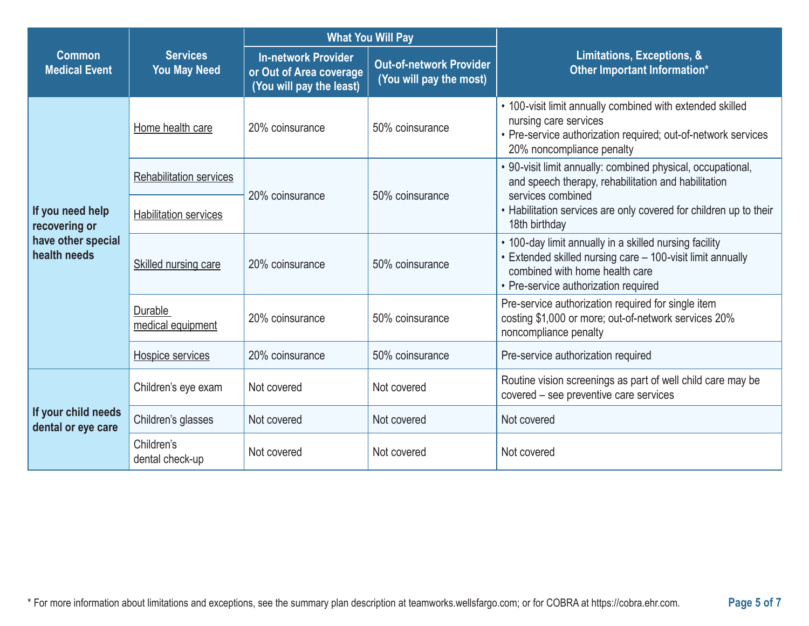|                                                                         |                                        | <b>What You Will Pay</b>                                                          |                                                           |                                                                                                                                                                                                |  |
|-------------------------------------------------------------------------|----------------------------------------|-----------------------------------------------------------------------------------|-----------------------------------------------------------|------------------------------------------------------------------------------------------------------------------------------------------------------------------------------------------------|--|
| <b>Common</b><br><b>Medical Event</b>                                   | <b>Services</b><br><b>You May Need</b> | <b>In-network Provider</b><br>or Out of Area coverage<br>(You will pay the least) | <b>Out-of-network Provider</b><br>(You will pay the most) | Limitations, Exceptions, &<br>Other Important Information*                                                                                                                                     |  |
|                                                                         | Home health care                       | 20% coinsurance                                                                   | 50% coinsurance                                           | • 100-visit limit annually combined with extended skilled<br>nursing care services<br>• Pre-service authorization required; out-of-network services<br>20% noncompliance penalty               |  |
|                                                                         | <b>Rehabilitation services</b>         | 20% coinsurance                                                                   | 50% coinsurance                                           | • 90-visit limit annually: combined physical, occupational,<br>and speech therapy, rehabilitation and habilitation<br>services combined                                                        |  |
| If you need help<br>recovering or<br>have other special<br>health needs | <b>Habilitation services</b>           |                                                                                   |                                                           | • Habilitation services are only covered for children up to their<br>18th birthday                                                                                                             |  |
|                                                                         | Skilled nursing care                   | 20% coinsurance                                                                   | 50% coinsurance                                           | • 100-day limit annually in a skilled nursing facility<br>• Extended skilled nursing care - 100-visit limit annually<br>combined with home health care<br>• Pre-service authorization required |  |
|                                                                         | Durable<br>medical equipment           | 20% coinsurance                                                                   | 50% coinsurance                                           | Pre-service authorization required for single item<br>costing \$1,000 or more; out-of-network services 20%<br>noncompliance penalty                                                            |  |
|                                                                         | Hospice services                       | 20% coinsurance                                                                   | 50% coinsurance                                           | Pre-service authorization required                                                                                                                                                             |  |
| If your child needs<br>dental or eye care                               | Children's eye exam                    | Not covered                                                                       | Not covered                                               | Routine vision screenings as part of well child care may be<br>covered - see preventive care services                                                                                          |  |
|                                                                         | Children's glasses                     | Not covered                                                                       | Not covered                                               | Not covered                                                                                                                                                                                    |  |
|                                                                         | Children's<br>dental check-up          | Not covered                                                                       | Not covered                                               | Not covered                                                                                                                                                                                    |  |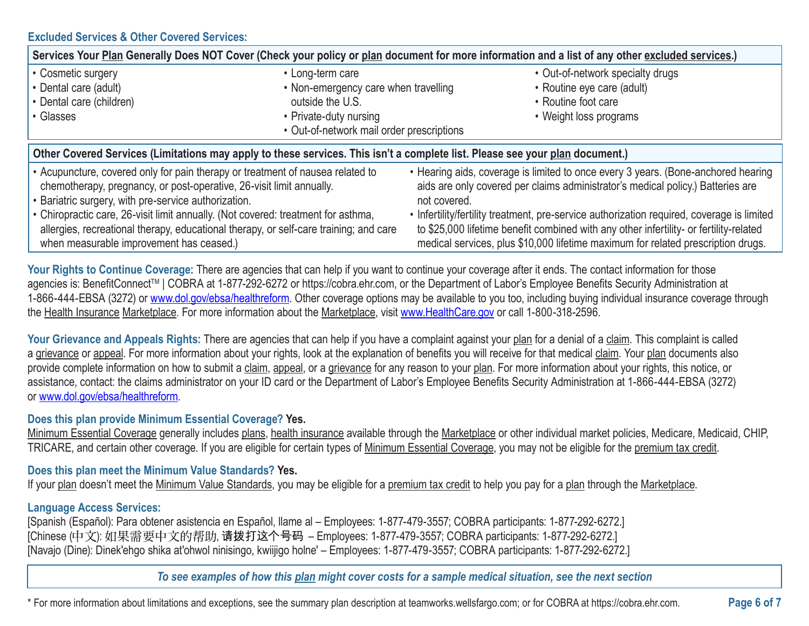### **Excluded Services & Other Covered Services:**

| Services Your Plan Generally Does NOT Cover (Check your policy or plan document for more information and a list of any other excluded services.)                                                                                                                                                                                                                                                                                         |                                                          |                                                                                                                                                                                                                                                                                                                                                                                                                                                                  |  |  |  |
|------------------------------------------------------------------------------------------------------------------------------------------------------------------------------------------------------------------------------------------------------------------------------------------------------------------------------------------------------------------------------------------------------------------------------------------|----------------------------------------------------------|------------------------------------------------------------------------------------------------------------------------------------------------------------------------------------------------------------------------------------------------------------------------------------------------------------------------------------------------------------------------------------------------------------------------------------------------------------------|--|--|--|
| • Cosmetic surgery<br>• Dental care (adult)                                                                                                                                                                                                                                                                                                                                                                                              | • Long-term care<br>• Non-emergency care when travelling | • Out-of-network specialty drugs<br>• Routine eye care (adult)                                                                                                                                                                                                                                                                                                                                                                                                   |  |  |  |
| • Dental care (children)                                                                                                                                                                                                                                                                                                                                                                                                                 | outside the U.S.                                         | • Routine foot care                                                                                                                                                                                                                                                                                                                                                                                                                                              |  |  |  |
| • Glasses                                                                                                                                                                                                                                                                                                                                                                                                                                | • Private-duty nursing                                   | • Weight loss programs                                                                                                                                                                                                                                                                                                                                                                                                                                           |  |  |  |
| • Out-of-network mail order prescriptions                                                                                                                                                                                                                                                                                                                                                                                                |                                                          |                                                                                                                                                                                                                                                                                                                                                                                                                                                                  |  |  |  |
| Other Covered Services (Limitations may apply to these services. This isn't a complete list. Please see your plan document.)                                                                                                                                                                                                                                                                                                             |                                                          |                                                                                                                                                                                                                                                                                                                                                                                                                                                                  |  |  |  |
| • Acupuncture, covered only for pain therapy or treatment of nausea related to<br>chemotherapy, pregnancy, or post-operative, 26-visit limit annually.<br>• Bariatric surgery, with pre-service authorization.<br>• Chiropractic care, 26-visit limit annually. (Not covered: treatment for asthma,<br>allergies, recreational therapy, educational therapy, or self-care training; and care<br>when measurable improvement has ceased.) |                                                          | • Hearing aids, coverage is limited to once every 3 years. (Bone-anchored hearing<br>aids are only covered per claims administrator's medical policy.) Batteries are<br>not covered.<br>• Infertility/fertility treatment, pre-service authorization required, coverage is limited<br>to \$25,000 lifetime benefit combined with any other infertility- or fertility-related<br>medical services, plus \$10,000 lifetime maximum for related prescription drugs. |  |  |  |

Your Rights to Continue Coverage: There are agencies that can help if you want to continue your coverage after it ends. The contact information for those agencies is: BenefitConnect™ | COBRA at 1-877-292-6272 or https://cobra.ehr.com, or the Department of Labor's Employee Benefits Security Administration at 1-866-444-EBSA (3272) or www.dol.gov/ebsa/healthreform. Other coverage options may be available to you too, including buying individual insurance coverage through the Health Insurance Marketplace. For more information about the Marketplace, visit www.HealthCare.gov or call 1-800-318-2596.

Your Grievance and Appeals Rights: There are agencies that can help if you have a complaint against your plan for a denial of a claim. This complaint is called a grievance or appeal. For more information about your rights, look at the explanation of benefits you will receive for that medical claim. Your plan documents also provide complete information on how to submit a claim, appeal, or a grievance for any reason to your plan. For more information about your rights, this notice, or assistance, contact: the claims administrator on your ID card or the Department of Labor's Employee Benefits Security Administration at 1-866-444-EBSA (3272) or www.dol.gov/ebsa/healthreform.

### **Does this plan provide Minimum Essential Coverage? Yes.**

Minimum Essential Coverage generally includes plans, health insurance available through the Marketplace or other individual market policies, Medicare, Medicaid, CHIP, TRICARE, and certain other coverage. If you are eligible for certain types of Minimum Essential Coverage, you may not be eligible for the premium tax credit.

#### **Does this plan meet the Minimum Value Standards? Yes.**

If your plan doesn't meet the Minimum Value Standards, you may be eligible for a premium tax credit to help you pay for a plan through the Marketplace.

## **Language Access Services:**

[Spanish (Español): Para obtener asistencia en Español, llame al – Employees: 1-877-479-3557; COBRA participants: 1-877-292-6272.] [Chinese (中文): 如果需要中文的帮助, 请拨打这个号码 - Employees: 1-877-479-3557; COBRA participants: 1-877-292-6272.] [Navajo (Dine): Dinek'ehgo shika at'ohwol ninisingo, kwiijigo holne' – Employees: 1-877-479-3557; COBRA participants: 1-877-292-6272.]

*To see examples of how this plan might cover costs for a sample medical situation, see the next section*